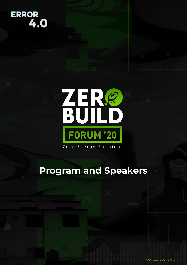# **ERROR**<br>4.0

# ZERS<br>BUILD **FORUM '20**

Zero Energy Buildings

### **Program and Speakers**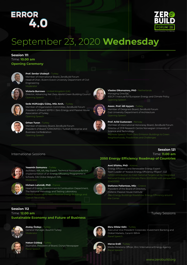

### September 23, 2020 **Wednesday**

#### **Session 111** Time: **10.00 am Opening Ceremony**



#### **Prof. Serdar Ulubeyli** - Turkey

Member of International Board, ZeroBuild Forum Head of Chair, Bülent Ecevit University Department of Civil Engineering Moderator



#### **Victoria Burrows** - United Kingdom (UK)

Director, Advancing Net Zero, World Green Building Council



#### **Seda Müftüoğlu Güleç, MSc Arch.** - Turkey Member of Organization Committee, ZeroBuild Forum

President of Board SEPEV / Zero Energy and Passive House Association of Turkey Opening Speech



#### **Orhan Turan** - Turkey

Member of Advisory Board, ZeroBuild Forum President of Board TÜRKONFED / Turkish Enterprise and Business Confederation Opening Speech



#### **Vlasios Oikonomou, PhD** - Netherlands Managing Director, IEECP / Institute for European Energy and Climate Policy Opening Speech



#### **Assoc. Prof. İdil Ayçam** - Turkey Member of Designers Board, ZeroBuild Forum Gazi University Department of Architecture



**Prof. Arild Gustavsen** - Norway Member of International Honoraray Board, ZeroBuild Forum Director of ZEB Research Centre Norwegian University of Science and Technology

Neighborhoods, Possibilities and Challenges

#### International Sessions



#### **Yasemin Somuncu** - Turkey





**Session 112** Time: **12.00 am**

#### **Hicham Lahmidi, PhD** - France

Head of Energy, Environment & Combustion Department, The National Metrology and Testing Laboratory French Roadmap to reach Positive Energy Buildings and

#### Time: **11.00 am 2050 Energy Efficiency Roadmap of Countries**

#### **Avni Sfishta, PhD** - Kosovo

Energy Efficiency and Renewable Energy Expert Team Leader of "Kosovo Energy Efficiency Project", GIZ nZEB Contribution to meet National Targets set by Integrated National Energy and Climate Plans 2021/2030 with perspective 2040/2050



**Stefanos Pallantzas, MSc** - Greece President of the Board of Directors, Hellenic Passive House Institute Zero Energy Buildings Roadshow: Energy Efficiency around the Corner

#### Turkey Sessions

**Session 121**

**Atalay Özdayı** - Turkey General Manager, Baumit Turkey Moderator

**Sustainable Economy and Future of Business**

**Hakan Güldağ** - Turkey Journalist, President of Board, Dünya Newspaper Panel Speech



**Ebru Dildar Edin** - Turkey Executive Vice President Corporate, Investment Banking and Global Markets, Garanti BBVA Panel Speech



**Merve Erdil** - Turkey Media Relations Officer, IEA / International Energy Agency Panel Speech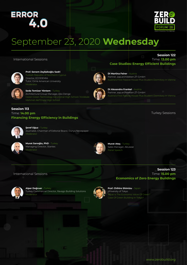

**Session 122** Time: **13.00 pm**

**Case Studies: Energy Efficient Buildings**

Austria's First Passive House Plus Student Dormitory In Vienna

Austria's First Passive House Plus Student Dormitory In Vienna

### September 23, 2020 **Wednesday**

#### International Sessions



**Prof. Senem Zeybekoğlu Sadri** Director, ECODEMIA Tutor, Girne American University Moderator



**Seda Temizer Yöntem** - Turkey Architectural Group Manager, Eko Denge

#### **Session 113** Time: **14.00 pm Financing Energy Efficiency in Buildings**



**Şeref Oğuz** - Turkey Journalist, Chairman of Editorial Board, Dünya Newspaper Moderato



**Murat Sarıoğlu, PhD** - Turkey Managing Director, Stantec Moderato



**Murat Ateş** - Turkey Sales Manager, AkLease Panel Speech

**DI Martina Feirer** - Austria Partner, aap.architekten ZT-GmbH

**DI Alexandra Frankel** - Austria Partner, aap.architekten ZT-GmbH

#### International Sessions



**Alper Doğruer** - Turkey Turkey Commercial Director, Ravago Building Solutions **Moderator** 



**Prof. Chihiro Shimizu** - Japan University of Tokyo What Is The Economic Value Of Green? Case Of Green Building In Tokyo?

Turkey Sessions

#### Time: **15.00 pm Economics of Zero Energy Buildings**

**Session 123**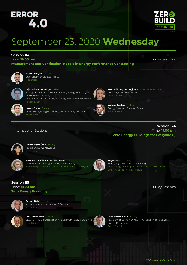

### September 23, 2020 **Wednesday**

#### **Session 114**

Time: **16.00 pm**

**Measurement and Verification, Its role in Energy Performance Contracting**

Turkey Sessions



**Mesut Avcı, PhD** - Turkey Chief Engineer, Stantec / TurSEFF Moderator



#### **Oğuz Kürşat Kabakçı** - Turkey

Energy and Natural Resources Expert, Energy Efficiency and Environment Division, Republic of Turkey Ministry of Energy and Natural Resources Panel Speech



#### **Hakan Olcay** - Turkey

Group Manager, Digital Industry, Siemens Sanayi ve Ticaret A.Ş. Panel Speech



**Volkan Gerdan** - Turkey Energy Solutions Director, Entek Panel Speech

Principal, iVEES t/a Consortio Ltd.

Panel Speech

**Yük. Müh. Rajvant Nijjhar** - United Kingdom (UK)

#### **Session 124** Time: **17.00 pm Zero Energy Buildings for Everyone (1)**

#### International Sessions



**Didem Eryar Ünlü** - Turkey Journalist, Dünya Newspaper Moderator



**Francesco Paolo Lamacchia, PhD** - Italy President, Zero Energy Building Network Italy Zero Energy Buildings: Richness In The Hands Of Everyone



**Miguel Feliz** - Portugal Managing Partner, S317 Consulting Challenges For The Near Future

#### **Session 115** Time: **18.00 pm Zero Energy Economy**



**A. Nuri Bulut** - Turkey Management Consultant, ANB Consulting Moderator



**Prof. Emre Alkin** - Turkey CEO, VERIMDER / Association for Energy Efficiency in Buildings Panel Speech



**Prof. Kerem Alkin** - Turkey President of Board, YENADER / Association of Renewable Energy Researches Panel Speech

Turkey Sessions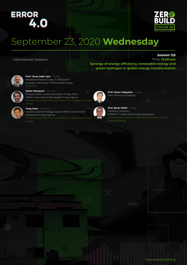

### September 23, 2020 **Wednesday**

International Sessions

#### **Session 125**

Time: **19.00 pm Synergy of energy efficiency, renewable energy and green hydrogen in global energy transformation**

> **Prof. Hasan Heperkan** - Turkey Yıldız Technical University



**Prof. Tanay Sıdkı Uyar** - Turkey President of Board Turkey, EUROSOLAR / European Association of Renewable Energy Moderator

Energy Analyst, Sustainable Urban Energy Team, IRENA / International Renewable Energy Agency



**Julien Marquant - Germany** 

**Yong Chen** - Germany Inovation and Technology Center, IRENA / International Renewable Energy Agency



**Prof. Şener Oktik** - Turkey Honorary Chairmen, GENSED / Turkish Solar Energy Association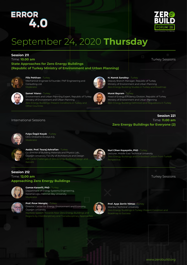

### September 24, 2020 **Thursday**

#### **Session 211**

Time: **10.00 am State Approaches for Zero Energy Buildings (Republic of Turkey Ministry of Environment and Urban Planning)** Turkey Sessions



#### **Filiz Pehlivan** - Turkey

Mechanical Engineer & Founder, FNP Engineering and Consulting Ltd.



#### **H. Namık Sandıkçı** - Turkey Deputy Branch Manager, Republic of Turkey Ministry of Environment and Urban Planning



**Samet Yılancı** - Turkey Environment and Urban Planning Expert, Republic of Turkey Ministry of Environment and Urban Planning Other Countries



#### **Murat Bayram** - Turkey

Head of Energy Efficiency Division, Republic of Turkey Ministry of Environment and Urban Planning

#### International Sessions

**Session 221** Time: **11.00 am Zero Energy Buildings for Everyone (2)**



**Fulya Özgül Koçak** - Turkey CEO, Onduline Avrasya A.Ş. **Moderator** 



**Session 212** Time: **12.00 am**

#### **Assist. Prof. Touraj Ashrafian** - Turkey

Co-director of Building Materials and Physics Lab., Özyeğin University Faculty of Architecture and Design Life Cycle Challenges of Zero Energy Building Design and



**Nuri Cihan Kayaçetin, PhD** - Turkey Lecturer, Middle East Technical University Zero Energy Buildings and Embodied Carbon from Turkish

Turkey Sessions

#### **Approaching Zero Energy Buildings Gamze Karanfil, PhD** - Turkey



#### Department of Energy Systems Engineering,

Karamanoğlu Mehmet Bey University Moderato



#### **Prof. Pınar Mengüç** - Turkey

Director, Center for Energy, Environment and Economy, Özyeğin University Regions by Interdisciplinary and Transdisciplinary Approaches



#### **Prof. Ayşe Zerrin Yılmaz** - Turkey Istanbul Technical University Zero Energy Buildings in Turkey: Present Condition and Roadmap to Success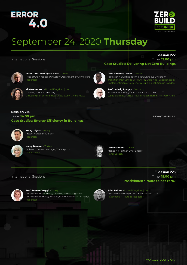

### September 24, 2020 **Thursday**

#### International Sessions

#### **Session 222** Time: **13.00 pm**



**Assoc. Prof. Ece Ceylan Baba** - Turkey Head of Chair, Yeditepe University Department of Architecture Moderator



**Kirsten Henson** - United Kingdom (UK) Director, KLH Sustainability Delivering Net Zero Homes: A case study "Orford Mews"



**Prof. Ambrose Dodoo** - Sweden

Professor in Building Technology, Linnaeus University

**Case Studies: Delivering Net Zero Buildings**

**Prof. Ludwig Rongen** - Germany Founder, RoA Rongen Architects PartG mbB World's Biggest Passive Hause Project: Harbin, Northern China

#### **Session 213** Time: **14.00 pm Case Studies: Energy Efficiency in Buildings**

Turkey Sessions



**Koray Göytan** - Turkey Project Manager, TurSEFF



**Nuray Demirer** - Turkey Architect, General Manager, TAV Airports Panel Speech



**Onur Günduru** - Turkey Managing Partner, Onur Energy

#### **Session 223** Time: **15.00 pm Passivhaus: a route to net zero?**



International Sessions

#### **Prof. Sermin Onaygil** - Turkey

Department Head, Energy Planning and Management Department of Energy Institute, Istanbul Technical University Moderator



**John Palmer** - United Kingdom (UK) Research and Policy Director, Passivhaus Trust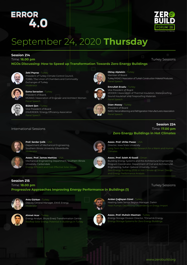

### September 24, 2020 **Thursday**

#### **Session 214**

#### Time: **16.00 pm**

**NGOs Discussing: How to Speed up Transformation Towards Zero Energy Buildings**



#### **Zeki Poyraz** - Turkey

President of Turkey Climate Control Council, TOBB / The Union of Chambers and Commodity Exchanges of Turkey

MÜKAD / Association of Engineer and Architect Women



#### **Esma Sarıaslan** - Turkey President of Board,

Panel Speech **Bülent Şen - Turkey** Vice President of Board ENVERDER / Energy Efficiency Association Panel Speech



#### Vice President of Board İZODER / Association of Thermal Insulation, Waterproofing, Sound Insulation and Fireproofing Materials Panel Speech

Turkey İMSAD / Association of Turkish Construction Material Producers

**Oktay Alptekin** - Turkey Member of Board

**Emrullah Eruslu** - Turkey

Panel Speech



**Ozan Atasoy** - Turkey President of Board İSKİD / Airconditioning and Refrigeration Manufacturers Association Panel Speech

#### International Sessions



#### **Prof. Serdar Çelik** - USA Department of Mechanical Engineering, Southern Illinois University Edwardsville Moderato



#### **Assoc. Prof. James Mathias** - USA Mechanical Engineering Department, Southern Illinois University, Carbondale

Energy Efficient and Cost Effective Solar House



#### **Assoc. Prof. Ulrike Passe** - USA Director, Iowa State University Climates

**Zero Energy Buildings in Hot Climates**



**Assoc. Prof. Saleh Al-Saadi** - Oman Building Energy Systems and the Architectural Engineering Program Coordinator, Department of Civil and Architectural Engineering, Sultan Qaboos University, Oman Zero Energy Building (ZEB) in Hot Climate of Oman: Design

#### **Session 215** Time: **18.00 pm**

#### Turkey Sessions

### **Progressive Approaches Improving Energy Performance in Buildings (1)**



**Arzu Gürkan** - Turkey Deputy General Manager, ENVE Energy **Moderator** 



**Arslan Çağlayan Gürel** - Turkey Heating Sales Senior Region Manager, Daikin Heat Pumps: Decreasing Dependency in Enegy Import



**Ahmet Acar** - Turkey Energy Analyst, Shura Enerji Transformation Centre



**Assoc. Prof. Muhsin Mazman** - Turkey Energy Storage Division Director, TDinamik Energy Energy Storage Systems for Zero Energy Buildings

**Session 224** Time: **17.00 pm**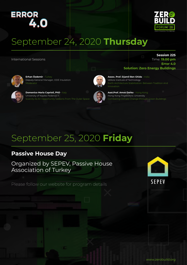

### September 24, 2020 **Thursday**

International Sessions

**Session 225** Time: **19.00 pm Error 4.0 Solution: Zero Energy Buildings**



**Erhan Özdemir** - Turkey Deputy General Manager, ODE Insulation Moderator



**Domenico Maria Caprioli, PhD** - Italy University of Naples Federico II Scarcity As An Opportunity. Lessons From The Outer Space



**Asst.Prof. Amos Darko** - Hong Kong Hong Kong Polytechnic University Combating Climate Change through Green Buildings

Earth Architecture Stabilization: Between Tradition And

**Assoc. Prof. Djamil Ben Ghida** - India Vellore Institute of Technology

### September 25, 2020 **Friday**

#### **Passive House Day**

Organized by SEPEV, Passive House Association of Turkey

Please follow our website for program details

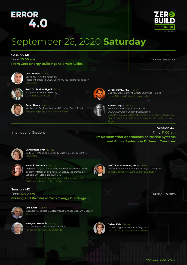

Turkey Sessions

### September 26, 2020 **Saturday**

#### **Session 411**

Time: **10.00 am From Zero Energy Buildings to Smart Cities**



**Celal Toprak** - Turkey Economy News Manager, TGRT President of Board, EGD / Economy Journalists Association Moderato



**Prof. Dr. İbrahim Üçgül** - Turkey Süleyman Demirel University Sustainable Campuses



**Serdar Yumlu, PhD** - Turkey Business Development Director, Sampaş Holding Smart Cities and Urban Transformation



#### **Caner Demir** - Turkey

Mechanical Engineer MSc and Founder, Demir Enerji



**Nursun Doğru** - Turkey Education and Project Coordinator, ECOBUILD Green Building Consultancy

#### **Session 421**

#### International Sessions

Time: **11.00 am Implementation Approaches of Passive Systems and Active Systems in Different Countries**



#### **Banu Pekol, PhD** - Turkey

Cultural Heritage and Capacity Building Manager, KMKD



#### **Yasemin Somuncu** - Turkey

Architect, MA, AA, Key Expert, Technical Assistance for the Implementation of an Energy Efficiency Programme in Schools, DAI Global Belgium SRL Energy Efficiency Implementation in Existing School



**Prof. İlker Kahraman, PhD** - Turkey Lecturer, Faculty of Architecture, Yaşar University

**Session 412**

Time: **12.00 am Glazing and Profiles in Zero Energy Buildings**



**Sefa Ertan** - Turkey Business Associates Development Manager, Şişecam Düzcam Moderator



**Hüseyin Gökdemir** - Turkey R&D Manager, Cuhadaroglu Metal A.Ş. Facades in Zero Energy Buildings



**Didem Kale** - Turkey R&D Manager, Deceuninck / Ege Profil VC Profiles in Zero Energy Buildings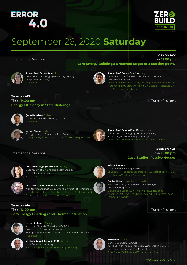

**Session 422**

### September 26, 2020 **Saturday**

International Sessions

Time: **13.00 pm Zero Energy Buildings: a reached target or a starting point?**



**Assoc. Prof. Canan Acar** - Turkey Department of Energy Systems Engineering, Bahçeşehir University Moderator

**Assoc. Prof. Enrico Fabrizio** - Italy Associate Editor of Sustainable Cities and Society Politecnico di Torino

A Starting Point? State Of The Art On Existing Researches On

#### **Session 413** Time: **14.00 pm Energy Efficiency in State Buildings**



**Çetin Ünsalan** - Turkey Journalist, TV and Radio Programmer loderato



**Levent Yazıcı** - Turkey Energy Manager, Governorship of Bursa



**Assoc. Prof. Selmin Ener Ruşen** - Turkey Department of Energy Systems Engineering, Karamanoğlu Mehmet Bey University

#### International Sessions



**Prof. Buket Ayşegül Özbakır** - Turkey Department of City and Regional Planning, Yıldız Teknik University Moderator

**Asst. Prof. Carlos Jimenez Bescos** - United Kingdom Architecture and Built Environment, University of Nottingham Passivhaus in Different Climates: Techniques, Challenges and



lic School In Viladecans/Barcelona **Bachir Nebia** - United Kingdom (UK)

**Micheel Wassouf** - Spain CEO, Energiehaus Arquitectos



Passivhaus Designer, Development Manager, Roberts & Treguer Ltd. Blaker Road Case Study: A Newly Erected Residential Schemes That Have Been Designed And Built To Passivhaus Standard In London.

**Session 414** Time: **16.00 pm Zero Energy Buildings and Thermal Insulation**

Opportunities for Vernacular Architecture



**Levent Pelesen** - Turkey Member of Board of Presidents IZODER Association of Thermal Insulation, Waterproofing, Sound Insulation and Fireproofing Materials Moderato



**Mustafa Kemal Sevindir, PhD** - Turkey Yıldız Technical University National Regulations and Zero Energy Buildings



**Timur Diz** - Turkey

General Secretary, IZODER Association of Thermal Insulation, Waterproofing, Sound Insulation and Fireproofing Materials Zero Energy Buildings and Thermal Insulation

Turkey Sessions

**Session 423** Time: **15.00 pm**

**Case Studies: Passive Houses**

www.zerobuild.org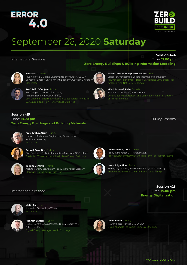

### September 26, 2020 **Saturday**

#### International Sessions

#### **Session 424** Time: **17.00 pm**



#### **Nil Kutlar** - Turkey

MSc Architec, Building Energy Efficiency Expert, CEEE / Center for Energy, Environment, Economy, Özyeğin University Moderato



**Prof. Salih Ofluoğlu** - Turkey Head Department of Informatics, Mimar Sinan Fine Arts University

Sustainable and High-Performance Buildings



#### **Milad Ashouri, PhD** - Canada Senior Data Scientist, EnerZam Inc.

School of Architecture, Vellore Institute of Technology

**Zero Energy Buildings & Building Information Modeling**

**Assoc. Prof. Sandeep Joshua Kota** - India

for Designing Net-Zero Buildings

Efficiency projects

#### **Session 415** Time: **18.00 pm Zero Energy Buildings and Building Materials**

Turkey Sessions

**Session 425** Time: **19.00 pm**

**Energy Digitalization**



#### **Prof. İbrahim Uzun** - Turkey Lecturer, Mechanical Engineering Department, Kırıkkale University



#### **Bengül Böke Diz** - Turkey

Civil Engineer, Technical Marketing Manager, ODE Yalıtım The Role of Thermal Insulation in Zero Energy Buildings



**Yudum Demirkol** - Turkey Architectural Glass Asistant Product Manager, Şişecam Glazing for Zero Energy Buildings



**Ozan Kovancı, PhD - Turkey** Product Manager, GF Hakan Plastik



**İhsan Tolga Akar** - Turkey Managing Director, Assan Panel Sanayi ve Ticaret A.Ş. Energy Efficiency Solutions in Industrial Buildings

#### International Sessions



**Metin Can** - Turkey Journalist, Technology Writer Moderator



**Mehmet Sağlam** - Turkey Turkey, Central Asia & Pakistan Digital Energy VP, Schneider Electric Digital Energy Management in Buildings



**Dilara Göker** - Turkey R&D Projects Manager, REENGEN Using AI and IoT to Improve Energy Efficiency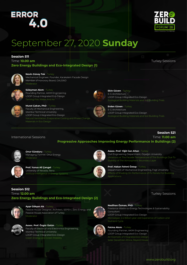## **ERROR**



### September 27, 2020 **Sunday**

#### **Session 511**

Time: **10.00 am Zero Energy Buildings and Eco-Integrated Design (1)** Turkey Sessions



#### **Nevin Güney Tok** - Turkey Mechanical Engineer, Founder, Karakalem Facade Design Member of Honorary Board, GALSİAD



#### **Süleyman Akım** - Turkey Founding Partner, AKIM Engineering LOOP Group Integrated Eco-Design



#### **Murat Çakan, PhD** - Turkey Faculty of Mechanical Engineering, Istanbul Technical University LOOP Group Integrated Eco-Design Natural Ventilation, Evaporative Cooling and Phase Change Materials in Eco Design



#### **Ekin Güven** - Turkey E-G Architecture LOOP Group Integrated Eco-Design Ecological Building Materials and Soil Building Trials

**Erden Güven** - Turkey E-G Architecture LOOP Group Integrated Eco-Design Ecological Building Materials and Soil Building Trials

#### **Session 521**

#### Time: **11.00 am Progressive Approaches Improving Energy Performance in Buildings (2)**



**Onur Günduru** - Turkey Managing Partner, Onur Energy Moderato



**Prof. Yunus Ali Çengel** - Turkey University of Nevada, Reno Artificial Inteligence in Energy Systems



#### **Assoc. Prof. Yiğit Can Altan** - Turkey Civil Engineering Department, Özyeğin University Variations at The Facade Temperature of The Buildings Due To Stability of The Atmospheric Boundary Layer

**Prof. Hakan Fehmi Öztop** - Turkey Department of Mechanical Engineering, Fırat University **Applications** 

#### **Session 512** Time: **12.00 am**

International Sessions

#### **Zero Energy Buildings and Eco-Integrated Design (2)**



**Ayşe Gökşen Ak** - Turkey Passive House Designer, Architect, SEPEV / Zero Energy and Passive House Association of Turkey Moderator



**Assoc. Prof. Özgür Üstün** - Turkey Faculty of Electrical and Electronics Engineering, Istanbul Technical University LOOP Group Integrated Eco-Design Green Energy and Green Mobility





Freelance Waste-to-Energy Technologies & Sustainability Consultant LOOP Group Integrated Eco-Design

Microalgae: 2.4 Billion-year-old Experience of Carbon and



#### **Fatma Akım** - Turkey

Founding Partner, AKIM Engineering LOOP Group Integrated Eco-Design An Example of Integrated Eco Design Solar Decathlon Africa, Reyard House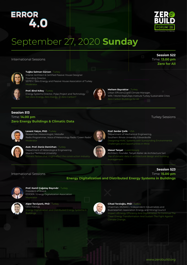

**Session 522** Time: **13.00 pm Zero for All**

### September 27, 2020 **Sunday**

International Sessions



**Tuğba Salman Gürcan** - Turkey Interior Architect & Certified Passive House Designer Founding Director, SEPEV / Zero Energy and Passive House Association of Turkey Moderato



**Prof. Birol Kılkış** - Turkey Energy Systems Director, Polar Project and Technology Net Zero-Energy, Zero-Exergy, or Zero-Carbon?



**Meltem Bayraktar** - Turkey

Urban Efficiency and Climate Manager, WRI / World Resources Institute Turkey Sustainable Cities Zero Carbon Buildings for All

#### **Session 513** Time: **14.00 pm Zero Energy Buildings & Climatic Data**

Turkey Sessions

**Session 523**



#### **Levent Yalçın, PhD** - Turkey Researcher Meteorologist, Metosfer

Radio Programmer, Voice of Meteorology Radio "Green Radio" Moderato



#### **Prof. Serdar Çelik** - USA Department of Mechanical Engineering, Southern Illinois University Edwardsville Designing HVAC Systems with Surrounding Environmental Challenges and Opportunities in Mind



#### **Asst. Prof. Deniz Demirhan** - Turkey Department of Meterological Engineering, Istanbul Technical University Climatic factors that might effect the construction industry



#### **Mesut Tanyel** - Luxembourg Architect, Founder, Tanyel Atelier de Architecture Sarl. management

#### International Sessions

Time: **15.00 pm Energy Digitalization and Distributed Energy Systems in Buildings**



#### **Prof. Kamil Çağatay Bayındır** - Turkey President of Board, EDİDER / Energy Digitalization Association Moderato



#### **Alper Terciyanlı, PhD** - Turkey CEO, Inavitas Energy Digitalization and Distributed Energy Systems in



#### **Cihad Terzioğlu, PhD** - Turkey Chairman, MÜSİAD / Independent Industrialists and Businessmen Association Energy and Mining Council

Impact ofEnergy Efficiency And Digitalization To Continue The Clean Energy Transformation And Sustain The Fight Against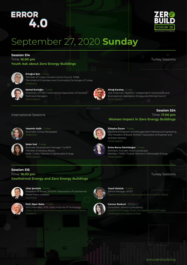

### September 27, 2020 **Sunday**

#### **Session 514**

Time: **16.00 pm Youth Ask about Zero Energy Buildings**



#### **Ertuğrul Şen** - Turkey

Member of Turkey Climate Control Council, TOBB The Union of Chambers and Commodity Exchanges of Turkey **Moderator** 



#### **Kemal Evcioğlu** - Turkey Chairman, UTTMD / International Association of Facilities

Technical Managers Panel Speech



#### **Altuğ Karataş** - Turkey

Vice Chairman, MÜSİAD / Independent Industrialists and Businessmen Association Energy and Mining Council Panel Speech

#### International Sessions



**Yasemin Salih** - Turkey Journalist, Dünya Newspaper Moderator

Member of Advisory Board ,

**Selen İnal** - Turkey

Panel Speech

Moderato



#### Time: **17.00 pm Women Impact in Zero Energy Buildings**

#### **Züleyha Özcan** - Turkey

Mechanical Engineer and Manager,Derin Mechanical Engineering Vice President of Board, MÜKAD / Association of Engineer and Architect Women Panel Speech

**Enise Burcu Derinboğaz** - Turkey Architect, Founder, Praxis Landscape Member, TWRE / Turkish Women in Renewable Energy Panel Speech

#### **Session 515** Time: **18.00 pm Geothermal Energy and Zero Energy Buildings**

Business Development Manager, TurSEFF

WiRE Turkey / Women in Renewable Energy



#### **Ufuk Şentürk** - Turkey

President Of Board, JESDER / Association of Geothermal Power Plant Investors



#### **Prof. Alper Baba** - Turkey Vice Chancellor, IYTE / İzmir Institute of Technology Direct Use of Geothermal Energy and its Environmental Problems



**Yusuf Ulutürk** - Turkey Genral Manager, AFJET Geothermal District Heating and Environmental Effects



**Cannur Bozkurt** - Turkey Consultant, Armoni Consultancy Geothermal Energy Direct Use Applications of Turkey; Challenges and Opportunities

Turkey Sessions

**Session 524**